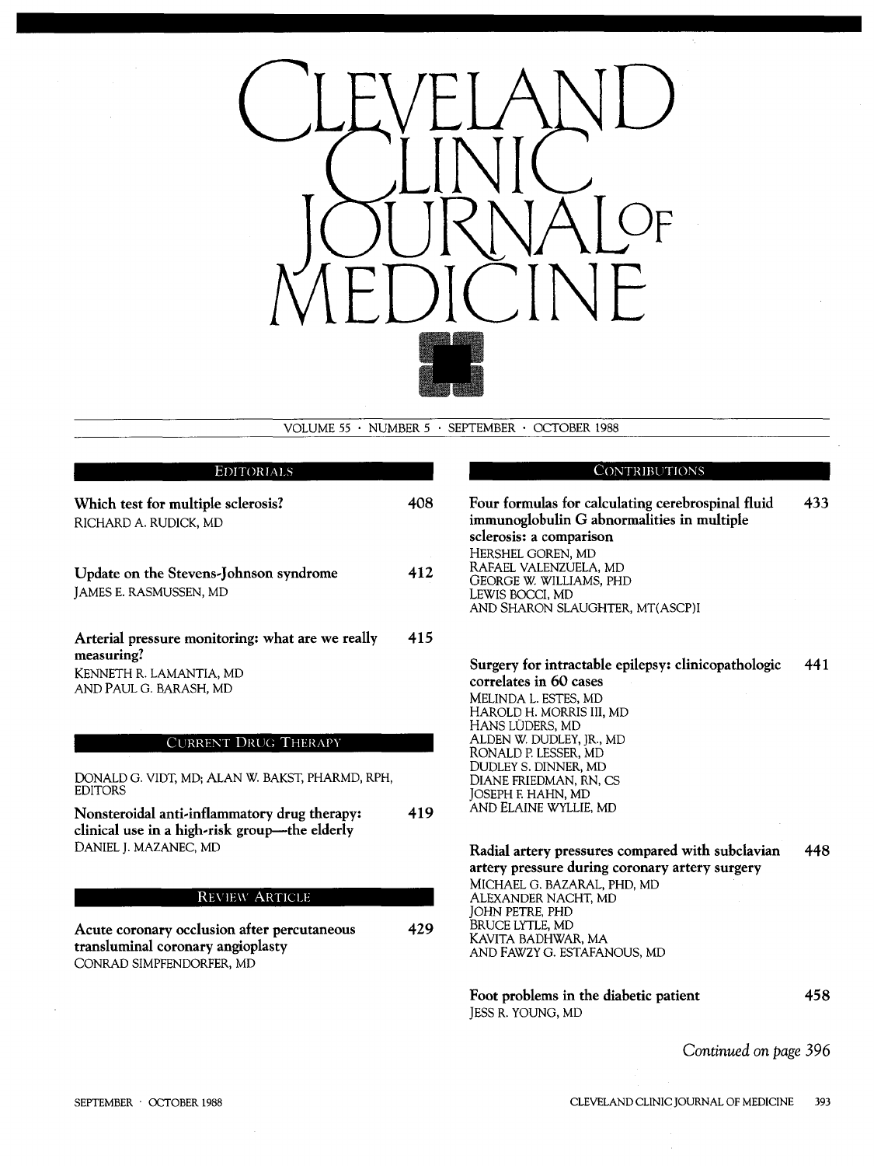

VOLUME 55 • NUMBER 5 • SEPTEMBER • OCTOBER 1988

| <b>EDITORIALS</b>                                                                                            |     | <b>CONTRIBUTIONS</b>                                                                                                                                 |     |
|--------------------------------------------------------------------------------------------------------------|-----|------------------------------------------------------------------------------------------------------------------------------------------------------|-----|
| Which test for multiple sclerosis?<br>RICHARD A. RUDICK, MD                                                  | 408 | Four formulas for calculating cerebrospinal fluid<br>immunoglobulin G abnormalities in multiple<br>sclerosis: a comparison<br>HERSHEL GOREN, MD      | 433 |
| Update on the Stevens-Johnson syndrome<br>JAMES E. RASMUSSEN, MD                                             | 412 | RAFAEL VALENZUELA, MD<br>GEORGE W. WILLIAMS, PHD<br>LEWIS BOCCI, MD<br>AND SHARON SLAUGHTER, MT(ASCP)I                                               |     |
| Arterial pressure monitoring: what are we really<br>measuring?                                               | 415 |                                                                                                                                                      |     |
| KENNETH R. LAMANTIA, MD<br>AND PAUL G. BARASH, MD                                                            |     | Surgery for intractable epilepsy: clinicopathologic<br>correlates in 60 cases<br>MELINDA L. ESTES, MD<br>HAROLD H. MORRIS III, MD<br>HANS LÜDERS, MD | 441 |
| <b>CURRENT DRUG THERAPY</b>                                                                                  |     | ALDEN W. DUDLEY, JR., MD<br>RONALD P. LESSER, MD<br>DUDLEY S. DINNER, MD                                                                             |     |
| DONALD G. VIDT, MD; ALAN W. BAKST, PHARMD, RPH,<br><b>EDITORS</b>                                            |     | DIANE FRIEDMAN, RN, CS<br><b>JOSEPH F. HAHN, MD</b>                                                                                                  |     |
| Nonsteroidal anti-inflammatory drug therapy:<br>clinical use in a high-risk group—the elderly                | 419 | AND ELAINE WYLLIE, MD                                                                                                                                |     |
| DANIEL I. MAZANEC, MD                                                                                        |     | Radial artery pressures compared with subclavian<br>artery pressure during coronary artery surgery<br>MICHAEL G. BAZARAL, PHD, MD                    | 448 |
| <b>REVIEW ARTICLE</b>                                                                                        |     | ALEXANDER NACHT, MD<br>JOHN PETRE, PHD                                                                                                               |     |
| Acute coronary occlusion after percutaneous<br>transluminal coronary angioplasty<br>CONRAD SIMPFENDORFER, MD | 429 | BRUCE LYTLE, MD<br>KAVITA BADHWAR, MA<br>AND FAWZY G. ESTAFANOUS, MD                                                                                 |     |
|                                                                                                              |     | Foot problems in the diabetic patient<br><b>IESS R. YOUNG, MD</b>                                                                                    | 458 |

*Continued on page 396* 

 $\bar{z}$